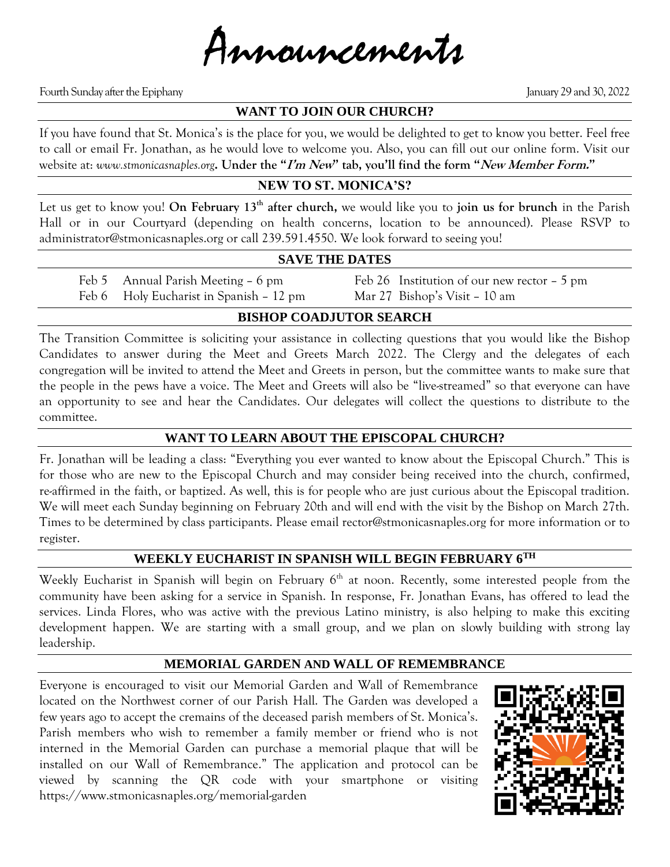

Fourth Sunday after the Epiphany January 29 and 30, 2022

## **WANT TO JOIN OUR CHURCH?**

If you have found that St. Monica's is the place for you, we would be delighted to get to know you better. Feel free to call or email Fr. Jonathan, as he would love to welcome you. Also, you can fill out our online form. Visit our website at: *www.stmonicasnaples.org***. Under the "I'm New" tab, you'll find the form "New Member Form."**

#### **NEW TO ST. MONICA'S?**

Let us get to know you! **On February 13th after church,** we would like you to **join us for brunch** in the Parish Hall or in our Courtyard (depending on health concerns, location to be announced). Please RSVP to administrator@stmonicasnaples.org or call 239.591.4550. We look forward to seeing you!

#### **SAVE THE DATES**

Feb 6 Holy Eucharist in Spanish – 12 pm Mar 27 Bishop's Visit – 10 am

Feb 5 Annual Parish Meeting – 6 pm Feb 26 Institution of our new rector – 5 pm

## **BISHOP COADJUTOR SEARCH**

The Transition Committee is soliciting your assistance in collecting questions that you would like the Bishop Candidates to answer during the Meet and Greets March 2022. The Clergy and the delegates of each congregation will be invited to attend the Meet and Greets in person, but the committee wants to make sure that the people in the pews have a voice. The Meet and Greets will also be "live-streamed" so that everyone can have an opportunity to see and hear the Candidates. Our delegates will collect the questions to distribute to the committee.

#### **WANT TO LEARN ABOUT THE EPISCOPAL CHURCH?**

Fr. Jonathan will be leading a class: "Everything you ever wanted to know about the Episcopal Church." This is for those who are new to the Episcopal Church and may consider being received into the church, confirmed, re-affirmed in the faith, or baptized. As well, this is for people who are just curious about the Episcopal tradition. We will meet each Sunday beginning on February 20th and will end with the visit by the Bishop on March 27th. Times to be determined by class participants. Please email rector@stmonicasnaples.org for more information or to register.

#### **WEEKLY EUCHARIST IN SPANISH WILL BEGIN FEBRUARY 6TH**

Weekly Eucharist in Spanish will begin on February 6<sup>th</sup> at noon. Recently, some interested people from the community have been asking for a service in Spanish. In response, Fr. Jonathan Evans, has offered to lead the services. Linda Flores, who was active with the previous Latino ministry, is also helping to make this exciting development happen. We are starting with a small group, and we plan on slowly building with strong lay leadership.

#### **MEMORIAL GARDEN AND WALL OF REMEMBRANCE**

Everyone is encouraged to visit our Memorial Garden and Wall of Remembrance located on the Northwest corner of our Parish Hall. The Garden was developed a few years ago to accept the cremains of the deceased parish members of St. Monica's. Parish members who wish to remember a family member or friend who is not interned in the Memorial Garden can purchase a memorial plaque that will be installed on our Wall of Remembrance." The application and protocol can be viewed by scanning the QR code with your smartphone or visiting https://www.stmonicasnaples.org/memorial-garden